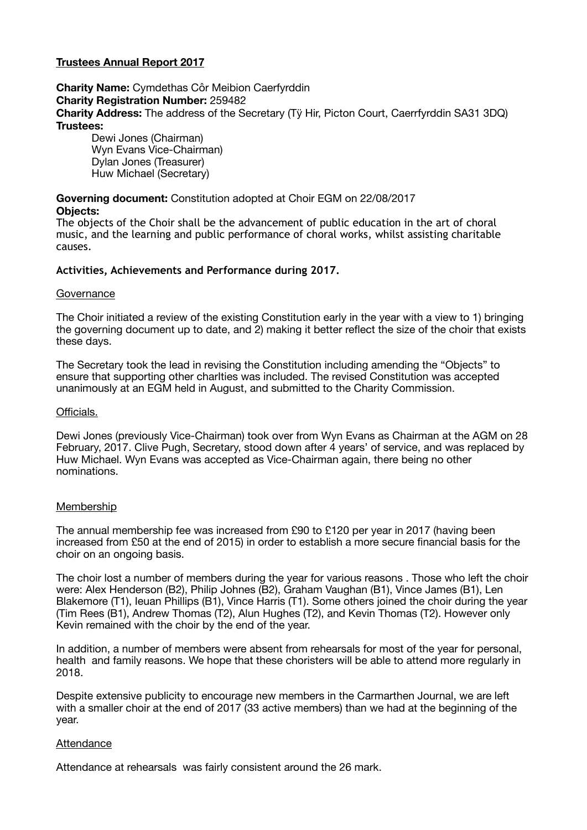# **Trustees Annual Report 2017**

**Charity Name:** Cymdethas Côr Meibion Caerfyrddin **Charity Registration Number:** 259482 **Charity Address:** The address of the Secretary (Tÿ Hir, Picton Court, Caerrfyrddin SA31 3DQ) **Trustees:** 

Dewi Jones (Chairman) Wyn Evans Vice-Chairman) Dylan Jones (Treasurer) Huw Michael (Secretary)

# **Governing document:** Constitution adopted at Choir EGM on 22/08/2017

# **Objects:**

The objects of the Choir shall be the advancement of public education in the art of choral music, and the learning and public performance of choral works, whilst assisting charitable causes.

# **Activities, Achievements and Performance during 2017.**

## **Governance**

The Choir initiated a review of the existing Constitution early in the year with a view to 1) bringing the governing document up to date, and 2) making it better reflect the size of the choir that exists these days.

The Secretary took the lead in revising the Constitution including amending the "Objects" to ensure that supporting other charIties was included. The revised Constitution was accepted unanimously at an EGM held in August, and submitted to the Charity Commission.

## Officials.

Dewi Jones (previously Vice-Chairman) took over from Wyn Evans as Chairman at the AGM on 28 February, 2017. Clive Pugh, Secretary, stood down after 4 years' of service, and was replaced by Huw Michael. Wyn Evans was accepted as Vice-Chairman again, there being no other nominations.

# Membership

The annual membership fee was increased from £90 to £120 per year in 2017 (having been increased from £50 at the end of 2015) in order to establish a more secure financial basis for the choir on an ongoing basis.

The choir lost a number of members during the year for various reasons . Those who left the choir were: Alex Henderson (B2), Philip Johnes (B2), Graham Vaughan (B1), Vince James (B1), Len Blakemore (T1), Ieuan Phillips (B1), Vince Harris (T1). Some others joined the choir during the year (Tim Rees (B1), Andrew Thomas (T2), Alun Hughes (T2), and Kevin Thomas (T2). However only Kevin remained with the choir by the end of the year.

In addition, a number of members were absent from rehearsals for most of the year for personal, health and family reasons. We hope that these choristers will be able to attend more regularly in 2018.

Despite extensive publicity to encourage new members in the Carmarthen Journal, we are left with a smaller choir at the end of 2017 (33 active members) than we had at the beginning of the year.

#### Attendance

Attendance at rehearsals was fairly consistent around the 26 mark.